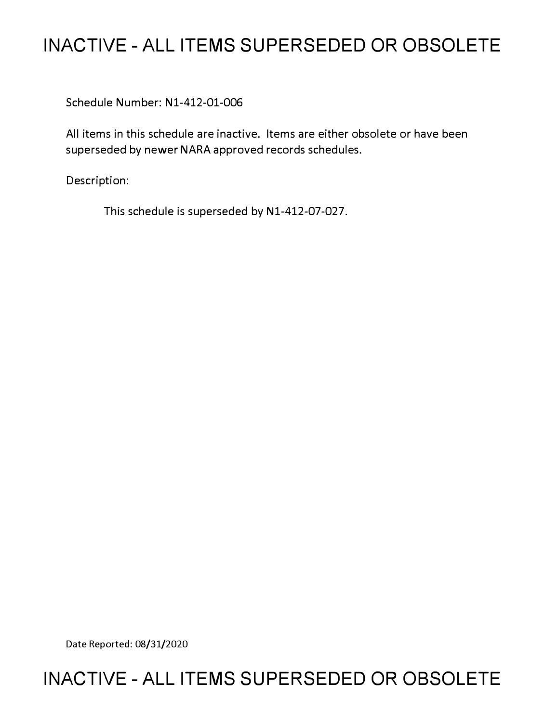# **INACTIVE - ALL ITEMS SUPERSEDED OR OBSOLETE**

Schedule Number: Nl-412-01-006

All items in this schedule are inactive. Items are either obsolete or have been superseded by newer NARA approved records schedules.

Description:

This schedule is superseded by Nl-412-07-027.

Date Reported: 08/31/2020

# **INACTIVE - ALL ITEMS SUPERSEDED OR OBSOLETE**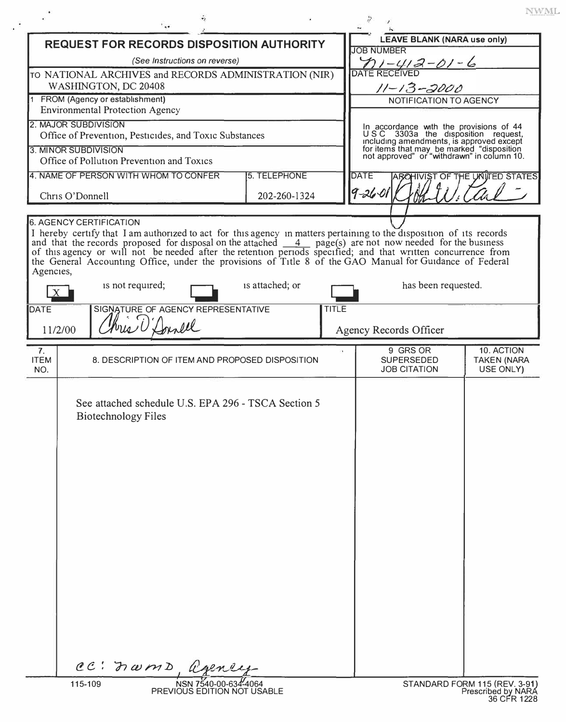|                                                                                                                                                                                                                                 |         |                                                                                                                                                                                                                                                                                                                                                                                                                                                                                                                                                                                        |                                                     |                 |              |                                               |                                                                                                                                                                                                                                                | <b>NWML</b>                                         |
|---------------------------------------------------------------------------------------------------------------------------------------------------------------------------------------------------------------------------------|---------|----------------------------------------------------------------------------------------------------------------------------------------------------------------------------------------------------------------------------------------------------------------------------------------------------------------------------------------------------------------------------------------------------------------------------------------------------------------------------------------------------------------------------------------------------------------------------------------|-----------------------------------------------------|-----------------|--------------|-----------------------------------------------|------------------------------------------------------------------------------------------------------------------------------------------------------------------------------------------------------------------------------------------------|-----------------------------------------------------|
| <b>REQUEST FOR RECORDS DISPOSITION AUTHORITY</b><br>(See Instructions on reverse)<br>TO NATIONAL ARCHIVES and RECORDS ADMINISTRATION (NIR)<br>WASHINGTON, DC 20408                                                              |         |                                                                                                                                                                                                                                                                                                                                                                                                                                                                                                                                                                                        |                                                     |                 |              | <b>JOB NUMBER</b>                             | <b>LEAVE BLANK (NARA use only)</b><br>$\frac{\gamma_1-\gamma_2-2-\delta-6}{\text{DATE RECEIVED}}$<br>$11 - 13 - 2000$                                                                                                                          |                                                     |
| FROM (Agency or establishment)<br><b>Environmental Protection Agency</b><br>2. MAJOR SUBDIVISION<br>Office of Prevention, Pesticides, and Toxic Substances<br>3. MINOR SUBDIVISION<br>Office of Pollution Prevention and Toxics |         |                                                                                                                                                                                                                                                                                                                                                                                                                                                                                                                                                                                        |                                                     |                 |              |                                               | NOTIFICATION TO AGENCY<br>In accordance with the provisions of 44<br>USC 3303a the disposition request,<br>including amendments, is approved except<br>for items that may be marked "disposition<br>not approved" or "withdrawn" in column 10. |                                                     |
| 4. NAME OF PERSON WITH WHOM TO CONFER<br>5. TELEPHONE<br>Chris O'Donnell<br>202-260-1324                                                                                                                                        |         |                                                                                                                                                                                                                                                                                                                                                                                                                                                                                                                                                                                        |                                                     |                 |              | <b>DATE</b><br>THE UNITED STATES<br>$9 - 260$ |                                                                                                                                                                                                                                                |                                                     |
| Agencies,<br>DATE                                                                                                                                                                                                               | 11/2/00 | <b>6. AGENCY CERTIFICATION</b><br>I hereby certify that I am authorized to act for this agency in matters pertaining to the disposition of its records<br>and that the records proposed for disposal on the attached $\frac{4}{\sqrt{2}}$ page(s) are not now needed for the business<br>of this agency or will not be needed after the retention periods specified; and that written concurrence from<br>the General Accounting Office, under the provisions of Title 8 of the GAO Manual for Guidance of Federal<br>is not required;<br>SIGNATURE OF AGENCY REPRESENTATIVE<br>Innell |                                                     | is attached; or | <b>TITLE</b> |                                               | has been requested.<br>Agency Records Officer                                                                                                                                                                                                  |                                                     |
| 7.<br><b>ITEM</b><br>NO.                                                                                                                                                                                                        |         | 8. DESCRIPTION OF ITEM AND PROPOSED DISPOSITION                                                                                                                                                                                                                                                                                                                                                                                                                                                                                                                                        |                                                     |                 |              |                                               | 9 GRS OR<br><b>SUPERSEDED</b><br><b>JOB CITATION</b>                                                                                                                                                                                           | 10. ACTION<br><b>TAKEN (NARA</b><br>USE ONLY)       |
|                                                                                                                                                                                                                                 |         | See attached schedule U.S. EPA 296 - TSCA Section 5<br><b>Biotechnology Files</b>                                                                                                                                                                                                                                                                                                                                                                                                                                                                                                      |                                                     |                 |              |                                               |                                                                                                                                                                                                                                                |                                                     |
|                                                                                                                                                                                                                                 | 115-109 | CC: norms agency                                                                                                                                                                                                                                                                                                                                                                                                                                                                                                                                                                       | NSN 7540-00-634-4064<br>PREVIOUS EDITION NOT USABLE |                 |              |                                               |                                                                                                                                                                                                                                                | STANDARD FORM 115 (REV. 3-91)<br>Prescribed by NARA |

 $\sim$   $^3$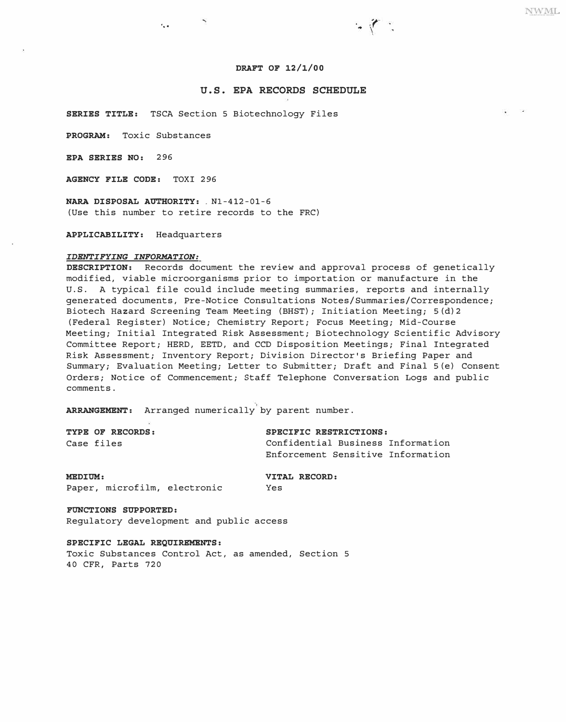### **DRAFT OF 12/1/00**

 $-1$ 

# **U.S. EPA RECORDS SCHEDULE**

**SERIES TITLE:** TSCA Section 5 Biotechnology Files

**PROGRAM:** Toxic Substances

...

**EPA SERIES NO:** 296

**AGENCY FILE CODE:** TOXI 296

**NARA DISPOSAL AUTHORITY: \_** Nl-412-01-6 (Use this number to retire records to the FRC)

**APPLICABILITY:** Headquarters

#### *IDENTIFYING INFORMATION:*

**DESCRIPTION:** Records document the review and approval process of genetically modified, viable microorganisms prior to importation or manufacture in the U.S. A typical file could include meeting summaries, reports and internally generated documents, Pre-Notice Consultations Notes/Summaries/Correspondence; Biotech Hazard Screening Team Meeting (BHST); Initiation Meeting; S(d)2 (Federal Register) Notice; Chemistry Report; Focus Meeting; Mid-Course Meeting; Initial Integrated Risk Assessment; Biotechnology Scientific Advisory Committee Report; HERD, EETD, and CCD Disposition Meetings; Final Integrated Risk Assessment; Inventory Report; Division Director's Briefing Paper and Summary; Evaluation Meeting; Letter to Submitter; Draft and Final S(e) Consent Orders; Notice of Commencement; Staff Telephone Conversation Logs and public comments.

**ARRANGEMENT:** Arranged numerically by parent number.

| TYPE OF RECORDS: | SPECIFIC RESTRICTIONS:            |
|------------------|-----------------------------------|
| Case files       | Confidential Business Information |
|                  | Enforcement Sensitive Information |

**MEDIUM: VITAL RECORD:**  Paper, microfilm, electronic Yes

**FUNCTIONS SUPPORTED:**  Regulatory development and public access

**SPECIFIC LEGAL REQUIREMENTS:** 

Toxic Substances Control Act, as amended, Section 5 40 CFR, Parts 720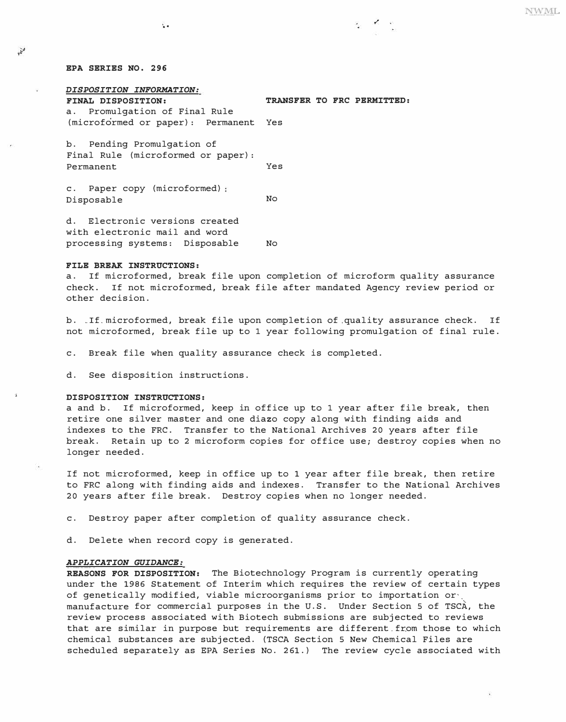# *EPA SERIES NO. 296*

 $\mathbf{r}$ 

*DISPOSITION INFORMATION:*  a. Promulgation of Final Rule

..

*FINAL DISPOSITION: TRANSFER TO FRC PERMITTED:* 

(microformed or paper): Permanent Yes

b. Pending Promulgation of Final Rule (microformed or paper): Permanent Yes

c. Paper copy (microformed) Disposable No

d. Electronic versions created with electronic mail and word processing systems: Disposable No

#### *FILE BREAK INSTRUCTIONS:*

a. If microformed, break file upon completion of microform quality assurance<br>check. If not microformed, break file after mandated Agency review period or If not microformed, break file after mandated Agency review period or other decision.

b. . If. microformed, break file upon completion of quality assurance check. If not microformed, break file up to 1 year following promulgation of final rule.

c. Break file when quality assurance check is completed.

d. See disposition instructions.

# *DISPOSITION INSTRUCTIONS:*

a and b. If microformed, keep in office up to 1 year after file break, then retire one silver master and one diazo copy along with finding aids and indexes to the FRC. Transfer to the National Archives 20 years after file break. Retain up to 2 microform copies for office use; destroy copies when no longer needed.

If not microformed, keep in office up to 1 year after file break, then retire to FRC along with finding aids and indexes. Transfer to the National Archives 20 years after file break. Destroy copies when no longer needed.

c. Destroy paper after completion of quality assurance check.

d. Delete when record copy is generated.

# *APPLICATION GUIDANCE:*

*REASONS FOR DISPOSITION:* The Biotechnology Program is currently operating under the 1986 Statement of Interim which requires the review of certain types of genetically modified, viable microorganisms prior to importation or·. manufacture for commercial purposes in the U.S. Under Section 5 of TSCA, the review process associated with Biotech submissions are subjected to reviews that are similar in purpose but requirements are different. from those to which chemical substances are subjected. (TSCA Section 5 New Chemical Files are scheduled separately as EPA Series No. 261.) The review cycle associated with **NWML**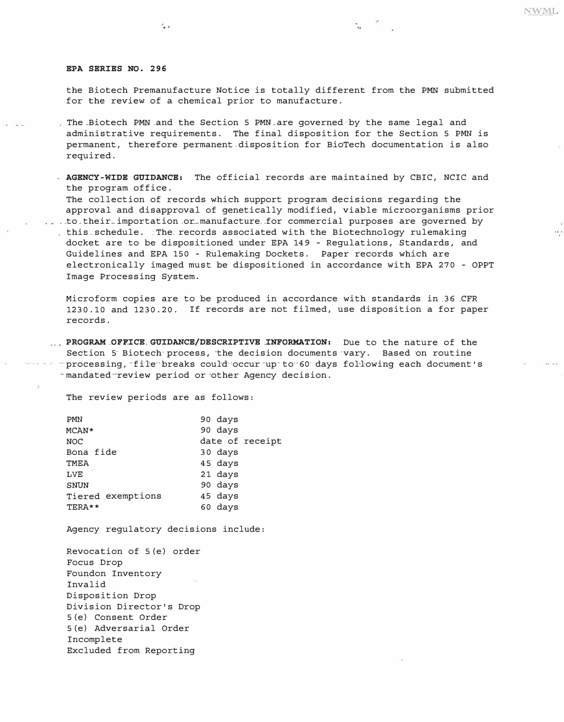#### *EPA SERIES NO. 296*

 $\lambda_{\rm CR}$ 

the Biotech Premanufacture Notice is totally different from the PMN submitted for the review of a chemical prior to manufacture.

٠.,

- The-Biotech PMN .and the Section 5 PMN.are governed·by the same legal and administrative requirements. The final disposition for the Section 5 PMN is permanent, therefore permanent.disposition for BioTech documentation is also required.
- *AGENCY-WIDE GUIDANCE:* The official records .are maintained by CBIC, NCIC and the program office.

The collection of records which support program decisions regarding the approval and disapproval of genetically modified, viable microorganisms prior .. to. their-. importation .or-manufacture .. for commercial purposes are governed by this-schedule. :The. records associated with the Biotechnology rulemaking docket are to be dispositioned under EPA 149 - Regulations, Standards, and Guidelines and EPA 150 - Rulemaking Dockets. Paper records which are electronically imaged must be dispositioned in accordance with EPA 270 - OPPT Image Processing System.

Microform copies are to be produced in accordance with standards in .36 .CFR 1230.10 and 1230.20. If records are not filmed, use disposition a for paper records.

*PROGRAM .OFF.ICE.GUIDANCE/DESCRIPTIVE .INFORMATION:* Due to the nature of the Section 5 Biotech process, the decision documents vary. Based on routine - processing, file breaks could occur up to 60 days following each document's ·· mandated ··-review period or ·other Agency decision.

The review periods are as follows:

| <b>PMN</b>        | 90 days         |
|-------------------|-----------------|
| $MCAN*$           | 90 days         |
| <b>NOC</b>        | date of receipt |
| Bona fide         | 30 days         |
| <b>TMEA</b>       | 45 days         |
| <b>LVE</b>        | 21 days         |
| <b>SNUN</b>       | 90 days         |
| Tiered exemptions | 45 days         |
| TERA**            | 60 days         |

Agency regulatory decisions include:

Revocation of 5(e) order Focus Drop Foundon Inventory Invalid Disposition Drop Division Director's Drop 5(e) Consent Order 5(e) Adversarial Order Incomplete Excluded from Reporting